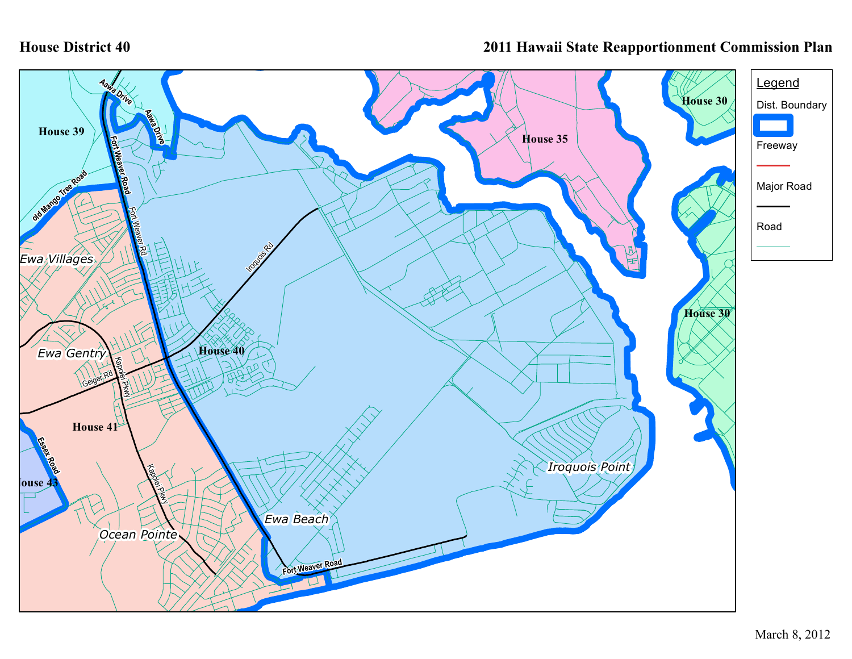## **House District 40**

## **2011 Hawaii State Reapportionment Commission Plan**